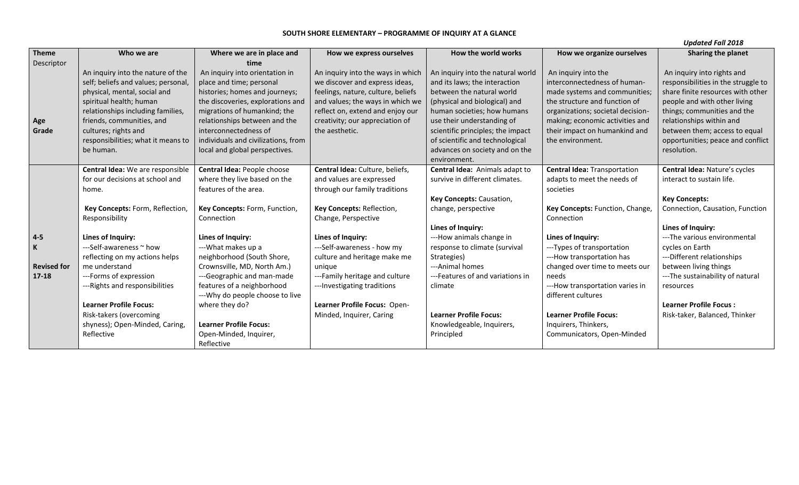## **SOUTH SHORE ELEMENTARY – PROGRAMME OF INQUIRY AT A GLANCE**

|                    |                                     |                                     |                                    |                                   |                                     | <b>Updated Fall 2018</b>            |  |  |
|--------------------|-------------------------------------|-------------------------------------|------------------------------------|-----------------------------------|-------------------------------------|-------------------------------------|--|--|
| <b>Theme</b>       | Who we are                          | Where we are in place and           | How we express ourselves           | How the world works               | How we organize ourselves           | Sharing the planet                  |  |  |
| Descriptor         |                                     | time                                |                                    |                                   |                                     |                                     |  |  |
|                    | An inquiry into the nature of the   | An inquiry into orientation in      | An inquiry into the ways in which  | An inquiry into the natural world | An inquiry into the                 | An inquiry into rights and          |  |  |
|                    | self; beliefs and values; personal, | place and time; personal            | we discover and express ideas,     | and its laws; the interaction     | interconnectedness of human-        | responsibilities in the struggle to |  |  |
|                    | physical, mental, social and        | histories; homes and journeys;      | feelings, nature, culture, beliefs | between the natural world         | made systems and communities;       | share finite resources with other   |  |  |
|                    | spiritual health; human             | the discoveries, explorations and   | and values; the ways in which we   | (physical and biological) and     | the structure and function of       | people and with other living        |  |  |
|                    | relationships including families,   | migrations of humankind; the        | reflect on, extend and enjoy our   | human societies; how humans       | organizations; societal decision-   | things; communities and the         |  |  |
| Age                | friends, communities, and           | relationships between and the       | creativity; our appreciation of    | use their understanding of        | making; economic activities and     | relationships within and            |  |  |
| Grade              | cultures; rights and                | interconnectedness of               | the aesthetic.                     | scientific principles; the impact | their impact on humankind and       | between them; access to equal       |  |  |
|                    | responsibilities; what it means to  | individuals and civilizations, from |                                    | of scientific and technological   | the environment.                    | opportunities; peace and conflict   |  |  |
|                    | be human.                           | local and global perspectives.      |                                    | advances on society and on the    |                                     | resolution.                         |  |  |
|                    |                                     |                                     |                                    | environment.                      |                                     |                                     |  |  |
|                    | Central Idea: We are responsible    | Central Idea: People choose         | Central Idea: Culture, beliefs,    | Central Idea: Animals adapt to    | <b>Central Idea: Transportation</b> | Central Idea: Nature's cycles       |  |  |
|                    | for our decisions at school and     | where they live based on the        | and values are expressed           | survive in different climates.    | adapts to meet the needs of         | interact to sustain life.           |  |  |
|                    | home.                               | features of the area.               | through our family traditions      |                                   | societies                           |                                     |  |  |
|                    |                                     |                                     |                                    | Key Concepts: Causation,          |                                     | <b>Key Concepts:</b>                |  |  |
|                    | Key Concepts: Form, Reflection,     | Key Concepts: Form, Function,       | Key Concepts: Reflection,          | change, perspective               | Key Concepts: Function, Change,     | Connection, Causation, Function     |  |  |
|                    | Responsibility                      | Connection                          | Change, Perspective                |                                   | Connection                          |                                     |  |  |
|                    |                                     |                                     |                                    | Lines of Inquiry:                 |                                     | Lines of Inquiry:                   |  |  |
| $4 - 5$            | Lines of Inquiry:                   | Lines of Inquiry:                   | Lines of Inquiry:                  | ---How animals change in          | Lines of Inquiry:                   | ---The various environmental        |  |  |
| K                  | ---Self-awareness ~ how             | ---What makes up a                  | ---Self-awareness - how my         | response to climate (survival     | ---Types of transportation          | cycles on Earth                     |  |  |
|                    | reflecting on my actions helps      | neighborhood (South Shore,          | culture and heritage make me       | Strategies)                       | ---How transportation has           | ---Different relationships          |  |  |
| <b>Revised for</b> | me understand                       | Crownsville, MD, North Am.)         | unique                             | ---Animal homes                   | changed over time to meets our      | between living things               |  |  |
| $17 - 18$          | ---Forms of expression              | ---Geographic and man-made          | ---Family heritage and culture     | ---Features of and variations in  | needs                               | --- The sustainability of natural   |  |  |
|                    | ---Rights and responsibilities      | features of a neighborhood          | --- Investigating traditions       | climate                           | ---How transportation varies in     | resources                           |  |  |
|                    |                                     | --- Why do people choose to live    |                                    |                                   | different cultures                  |                                     |  |  |
|                    | <b>Learner Profile Focus:</b>       | where they do?                      | Learner Profile Focus: Open-       |                                   |                                     | <b>Learner Profile Focus:</b>       |  |  |
|                    | Risk-takers (overcoming             |                                     | Minded, Inquirer, Caring           | <b>Learner Profile Focus:</b>     | <b>Learner Profile Focus:</b>       | Risk-taker, Balanced, Thinker       |  |  |
|                    | shyness); Open-Minded, Caring,      | <b>Learner Profile Focus:</b>       |                                    | Knowledgeable, Inquirers,         | Inquirers, Thinkers,                |                                     |  |  |
|                    | Reflective                          | Open-Minded, Inquirer,              |                                    | Principled                        | Communicators, Open-Minded          |                                     |  |  |
|                    |                                     | Reflective                          |                                    |                                   |                                     |                                     |  |  |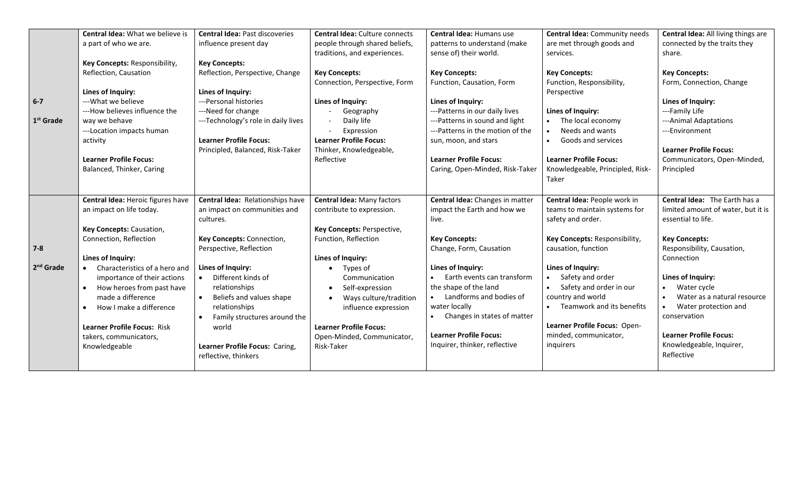|                                  | Central Idea: What we believe is<br>a part of who we are.                                                                                                                                                                                                                                                                                                              | <b>Central Idea: Past discoveries</b><br>influence present day                                                                                                                                                                                                                                                                                                 | <b>Central Idea: Culture connects</b><br>people through shared beliefs,<br>traditions, and experiences.                                                                                                                                                                                                                        | Central Idea: Humans use<br>patterns to understand (make<br>sense of) their world.                                                                                                                                                                                                                                                                               | <b>Central Idea:</b> Community needs<br>are met through goods and<br>services.                                                                                                                                                                                                                                                           | Central Idea: All living things are<br>connected by the traits they<br>share.                                                                                                                                                                                                                                                                                                              |
|----------------------------------|------------------------------------------------------------------------------------------------------------------------------------------------------------------------------------------------------------------------------------------------------------------------------------------------------------------------------------------------------------------------|----------------------------------------------------------------------------------------------------------------------------------------------------------------------------------------------------------------------------------------------------------------------------------------------------------------------------------------------------------------|--------------------------------------------------------------------------------------------------------------------------------------------------------------------------------------------------------------------------------------------------------------------------------------------------------------------------------|------------------------------------------------------------------------------------------------------------------------------------------------------------------------------------------------------------------------------------------------------------------------------------------------------------------------------------------------------------------|------------------------------------------------------------------------------------------------------------------------------------------------------------------------------------------------------------------------------------------------------------------------------------------------------------------------------------------|--------------------------------------------------------------------------------------------------------------------------------------------------------------------------------------------------------------------------------------------------------------------------------------------------------------------------------------------------------------------------------------------|
| $6-7$<br>$1st$ Grade             | Key Concepts: Responsibility,<br>Reflection, Causation<br>Lines of Inquiry:<br>--- What we believe<br>---How believes influence the<br>way we behave<br>---Location impacts human<br>activity<br><b>Learner Profile Focus:</b><br>Balanced, Thinker, Caring                                                                                                            | <b>Key Concepts:</b><br>Reflection, Perspective, Change<br>Lines of Inquiry:<br>---Personal histories<br>---Need for change<br>---Technology's role in daily lives<br><b>Learner Profile Focus:</b><br>Principled, Balanced, Risk-Taker                                                                                                                        | <b>Key Concepts:</b><br>Connection, Perspective, Form<br>Lines of Inquiry:<br>Geography<br>Daily life<br>Expression<br><b>Learner Profile Focus:</b><br>Thinker, Knowledgeable,<br>Reflective                                                                                                                                  | <b>Key Concepts:</b><br>Function, Causation, Form<br>Lines of Inquiry:<br>---Patterns in our daily lives<br>---Patterns in sound and light<br>---Patterns in the motion of the<br>sun, moon, and stars<br><b>Learner Profile Focus:</b><br>Caring, Open-Minded, Risk-Taker                                                                                       | <b>Key Concepts:</b><br>Function, Responsibility,<br>Perspective<br>Lines of Inquiry:<br>The local economy<br>Needs and wants<br>Goods and services<br>$\bullet$<br><b>Learner Profile Focus:</b><br>Knowledgeable, Principled, Risk-<br>Taker                                                                                           | <b>Key Concepts:</b><br>Form, Connection, Change<br>Lines of Inquiry:<br>---Family Life<br>---Animal Adaptations<br>---Environment<br><b>Learner Profile Focus:</b><br>Communicators, Open-Minded,<br>Principled                                                                                                                                                                           |
| $7 - 8$<br>2 <sup>nd</sup> Grade | Central Idea: Heroic figures have<br>an impact on life today.<br>Key Concepts: Causation,<br>Connection, Reflection<br>Lines of Inquiry:<br>Characteristics of a hero and<br>importance of their actions<br>How heroes from past have<br>made a difference<br>How I make a difference<br><b>Learner Profile Focus: Risk</b><br>takers, communicators,<br>Knowledgeable | Central Idea: Relationships have<br>an impact on communities and<br>cultures.<br>Key Concepts: Connection,<br>Perspective, Reflection<br>Lines of Inquiry:<br>Different kinds of<br>relationships<br>Beliefs and values shape<br>$\bullet$<br>relationships<br>Family structures around the<br>world<br>Learner Profile Focus: Caring,<br>reflective, thinkers | Central Idea: Many factors<br>contribute to expression.<br>Key Concepts: Perspective,<br>Function, Reflection<br>Lines of Inquiry:<br>Types of<br>Communication<br>Self-expression<br>$\bullet$<br>Ways culture/tradition<br>influence expression<br><b>Learner Profile Focus:</b><br>Open-Minded, Communicator,<br>Risk-Taker | Central Idea: Changes in matter<br>impact the Earth and how we<br>live.<br><b>Key Concepts:</b><br>Change, Form, Causation<br>Lines of Inquiry:<br>Earth events can transform<br>the shape of the land<br>Landforms and bodies of<br>$\bullet$<br>water locally<br>Changes in states of matter<br><b>Learner Profile Focus:</b><br>Inquirer, thinker, reflective | Central Idea: People work in<br>teams to maintain systems for<br>safety and order.<br>Key Concepts: Responsibility,<br>causation, function<br>Lines of Inquiry:<br>Safety and order<br>Safety and order in our<br>country and world<br>• Teamwork and its benefits<br>Learner Profile Focus: Open-<br>minded, communicator,<br>inquirers | Central Idea: The Earth has a<br>limited amount of water, but it is<br>essential to life.<br><b>Key Concepts:</b><br>Responsibility, Causation,<br>Connection<br>Lines of Inquiry:<br>Water cycle<br>$\bullet$<br>Water as a natural resource<br>$\bullet$<br>Water protection and<br>$\bullet$<br>conservation<br><b>Learner Profile Focus:</b><br>Knowledgeable, Inquirer,<br>Reflective |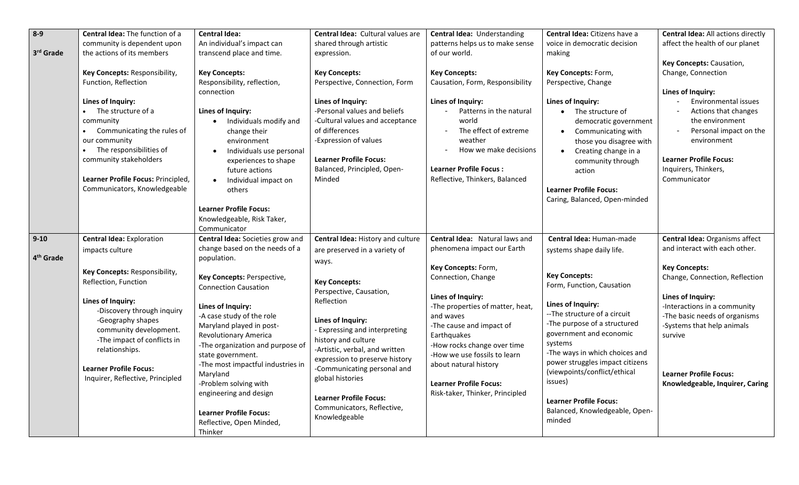| $8 - 9$               | Central Idea: The function of a      | <b>Central Idea:</b>                                   | Central Idea: Cultural values are | Central Idea: Understanding                                 | <b>Central Idea:</b> Citizens have a               | <b>Central Idea: All actions directly</b> |  |  |  |  |  |  |
|-----------------------|--------------------------------------|--------------------------------------------------------|-----------------------------------|-------------------------------------------------------------|----------------------------------------------------|-------------------------------------------|--|--|--|--|--|--|
|                       | community is dependent upon          | An individual's impact can                             | shared through artistic           | patterns helps us to make sense                             | voice in democratic decision                       | affect the health of our planet           |  |  |  |  |  |  |
| 3rd Grade             | the actions of its members           | transcend place and time.                              | expression.                       | of our world.                                               | making                                             |                                           |  |  |  |  |  |  |
|                       |                                      |                                                        |                                   |                                                             |                                                    | Key Concepts: Causation,                  |  |  |  |  |  |  |
|                       | Key Concepts: Responsibility,        | <b>Key Concepts:</b>                                   | <b>Key Concepts:</b>              | <b>Key Concepts:</b>                                        | Key Concepts: Form,                                | Change, Connection                        |  |  |  |  |  |  |
|                       | Function, Reflection                 | Responsibility, reflection,                            | Perspective, Connection, Form     | Causation, Form, Responsibility                             | Perspective, Change                                |                                           |  |  |  |  |  |  |
|                       |                                      | connection                                             |                                   |                                                             |                                                    | Lines of Inquiry:                         |  |  |  |  |  |  |
|                       | Lines of Inquiry:                    |                                                        | Lines of Inquiry:                 | Lines of Inquiry:                                           | Lines of Inquiry:                                  | Environmental issues                      |  |  |  |  |  |  |
|                       | The structure of a<br>$\bullet$      | Lines of Inquiry:                                      | -Personal values and beliefs      | Patterns in the natural                                     | • The structure of                                 | Actions that changes                      |  |  |  |  |  |  |
|                       | community                            | Individuals modify and                                 | -Cultural values and acceptance   | world                                                       | democratic government                              | the environment                           |  |  |  |  |  |  |
|                       | Communicating the rules of           | change their                                           | of differences                    | The effect of extreme                                       | Communicating with                                 | Personal impact on the                    |  |  |  |  |  |  |
|                       | our community                        | environment                                            | -Expression of values             | weather                                                     | those you disagree with                            | environment                               |  |  |  |  |  |  |
|                       | The responsibilities of<br>$\bullet$ | Individuals use personal                               |                                   | How we make decisions                                       | Creating change in a                               |                                           |  |  |  |  |  |  |
|                       | community stakeholders               | experiences to shape                                   | <b>Learner Profile Focus:</b>     |                                                             | community through                                  | <b>Learner Profile Focus:</b>             |  |  |  |  |  |  |
|                       |                                      | future actions                                         | Balanced, Principled, Open-       | <b>Learner Profile Focus:</b>                               | action                                             | Inquirers, Thinkers,                      |  |  |  |  |  |  |
|                       | Learner Profile Focus: Principled,   | Individual impact on                                   | Minded                            | Reflective, Thinkers, Balanced                              |                                                    | Communicator                              |  |  |  |  |  |  |
|                       | Communicators, Knowledgeable         | others                                                 |                                   |                                                             | <b>Learner Profile Focus:</b>                      |                                           |  |  |  |  |  |  |
|                       |                                      |                                                        |                                   |                                                             | Caring, Balanced, Open-minded                      |                                           |  |  |  |  |  |  |
|                       |                                      | <b>Learner Profile Focus:</b>                          |                                   |                                                             |                                                    |                                           |  |  |  |  |  |  |
|                       |                                      | Knowledgeable, Risk Taker,                             |                                   |                                                             |                                                    |                                           |  |  |  |  |  |  |
|                       |                                      | Communicator                                           |                                   |                                                             |                                                    |                                           |  |  |  |  |  |  |
| $9 - 10$              | <b>Central Idea: Exploration</b>     | Central Idea: Societies grow and                       | Central Idea: History and culture | Central Idea: Natural laws and                              | Central Idea: Human-made                           | Central Idea: Organisms affect            |  |  |  |  |  |  |
|                       |                                      |                                                        |                                   |                                                             |                                                    |                                           |  |  |  |  |  |  |
|                       | impacts culture                      | change based on the needs of a                         | are preserved in a variety of     | phenomena impact our Earth                                  | systems shape daily life.                          | and interact with each other.             |  |  |  |  |  |  |
| 4 <sup>th</sup> Grade |                                      | population.                                            | ways.                             |                                                             |                                                    |                                           |  |  |  |  |  |  |
|                       | Key Concepts: Responsibility,        |                                                        |                                   | Key Concepts: Form,                                         |                                                    | <b>Key Concepts:</b>                      |  |  |  |  |  |  |
|                       | Reflection, Function                 | Key Concepts: Perspective,                             | <b>Key Concepts:</b>              | Connection, Change                                          | <b>Key Concepts:</b>                               | Change, Connection, Reflection            |  |  |  |  |  |  |
|                       |                                      | <b>Connection Causation</b>                            | Perspective, Causation,           |                                                             | Form, Function, Causation                          |                                           |  |  |  |  |  |  |
|                       | Lines of Inquiry:                    |                                                        | Reflection                        | Lines of Inquiry:                                           |                                                    | Lines of Inquiry:                         |  |  |  |  |  |  |
|                       | -Discovery through inquiry           | Lines of Inquiry:                                      |                                   | -The properties of matter, heat,                            | Lines of Inquiry:<br>-- The structure of a circuit | -Interactions in a community              |  |  |  |  |  |  |
|                       | -Geography shapes                    | -A case study of the role                              | Lines of Inquiry:                 | and waves                                                   | -The purpose of a structured                       | -The basic needs of organisms             |  |  |  |  |  |  |
|                       | community development.               | Maryland played in post-                               | - Expressing and interpreting     | -The cause and impact of                                    | government and economic                            | -Systems that help animals                |  |  |  |  |  |  |
|                       | -The impact of conflicts in          | Revolutionary America                                  | history and culture               | Earthquakes                                                 | systems                                            | survive                                   |  |  |  |  |  |  |
|                       | relationships.                       | -The organization and purpose of                       | -Artistic, verbal, and written    | -How rocks change over time<br>-How we use fossils to learn | -The ways in which choices and                     |                                           |  |  |  |  |  |  |
|                       |                                      | state government.<br>-The most impactful industries in | expression to preserve history    | about natural history                                       | power struggles impact citizens                    |                                           |  |  |  |  |  |  |
|                       | <b>Learner Profile Focus:</b>        | Maryland                                               | -Communicating personal and       |                                                             | (viewpoints/conflict/ethical                       | <b>Learner Profile Focus:</b>             |  |  |  |  |  |  |
|                       | Inquirer, Reflective, Principled     | -Problem solving with                                  | global histories                  | <b>Learner Profile Focus:</b>                               | issues)                                            | Knowledgeable, Inquirer, Caring           |  |  |  |  |  |  |
|                       |                                      | engineering and design                                 |                                   | Risk-taker, Thinker, Principled                             |                                                    |                                           |  |  |  |  |  |  |
|                       |                                      |                                                        | <b>Learner Profile Focus:</b>     |                                                             | <b>Learner Profile Focus:</b>                      |                                           |  |  |  |  |  |  |
|                       |                                      | <b>Learner Profile Focus:</b>                          | Communicators, Reflective,        |                                                             | Balanced, Knowledgeable, Open-                     |                                           |  |  |  |  |  |  |
|                       |                                      | Reflective, Open Minded,<br>Thinker                    | Knowledgeable                     |                                                             | minded                                             |                                           |  |  |  |  |  |  |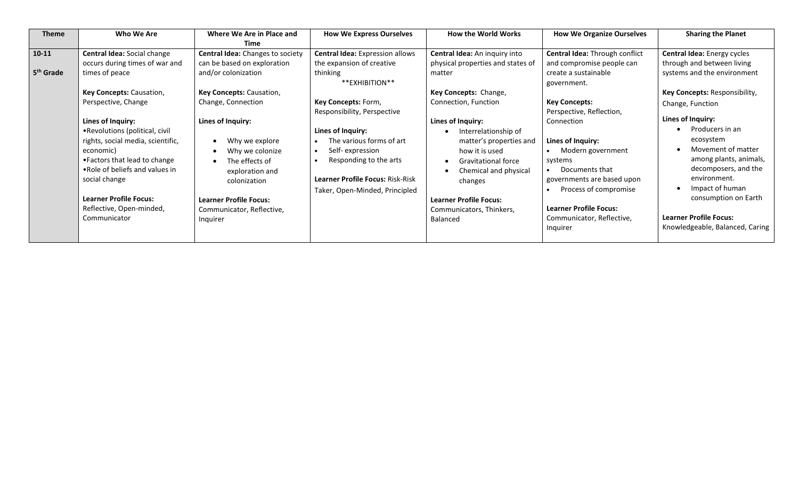| Theme                              | Who We Are                                                                                                                                                                                                                                                                                                                                                                                                            | Where We Are in Place and<br>Time                                                                                                                                                                                                                                                                                                 | <b>How We Express Ourselves</b>                                                                                                                                                                                                                                                                                                                 | <b>How the World Works</b>                                                                                                                                                                                                                                                                                                                                                | <b>How We Organize Ourselves</b>                                                                                                                                                                                                                                                                                                                                             | <b>Sharing the Planet</b>                                                                                                                                                                                                                                                                                                                                                                                 |
|------------------------------------|-----------------------------------------------------------------------------------------------------------------------------------------------------------------------------------------------------------------------------------------------------------------------------------------------------------------------------------------------------------------------------------------------------------------------|-----------------------------------------------------------------------------------------------------------------------------------------------------------------------------------------------------------------------------------------------------------------------------------------------------------------------------------|-------------------------------------------------------------------------------------------------------------------------------------------------------------------------------------------------------------------------------------------------------------------------------------------------------------------------------------------------|---------------------------------------------------------------------------------------------------------------------------------------------------------------------------------------------------------------------------------------------------------------------------------------------------------------------------------------------------------------------------|------------------------------------------------------------------------------------------------------------------------------------------------------------------------------------------------------------------------------------------------------------------------------------------------------------------------------------------------------------------------------|-----------------------------------------------------------------------------------------------------------------------------------------------------------------------------------------------------------------------------------------------------------------------------------------------------------------------------------------------------------------------------------------------------------|
| $10 - 11$<br>5 <sup>th</sup> Grade | <b>Central Idea:</b> Social change<br>occurs during times of war and<br>times of peace<br>Key Concepts: Causation,<br>Perspective, Change<br>Lines of Inquiry:<br>• Revolutions (political, civil<br>rights, social media, scientific,<br>economic)<br>• Factors that lead to change<br>• Role of beliefs and values in<br>social change<br><b>Learner Profile Focus:</b><br>Reflective, Open-minded,<br>Communicator | Central Idea: Changes to society<br>can be based on exploration<br>and/or colonization<br>Key Concepts: Causation,<br>Change, Connection<br>Lines of Inquiry:<br>Why we explore<br>Why we colonize<br>The effects of<br>exploration and<br>colonization<br><b>Learner Profile Focus:</b><br>Communicator, Reflective,<br>Inquirer | <b>Central Idea: Expression allows</b><br>the expansion of creative<br>thinking<br>**EXHIBITION**<br>Key Concepts: Form,<br>Responsibility, Perspective<br>Lines of Inquiry:<br>The various forms of art<br>Self-expression<br>$\bullet$<br>Responding to the arts<br><b>Learner Profile Focus: Risk-Risk</b><br>Taker, Open-Minded, Principled | <b>Central Idea:</b> An inquiry into<br>physical properties and states of<br>matter<br>Key Concepts: Change,<br>Connection, Function<br>Lines of Inquiry:<br>Interrelationship of<br>matter's properties and<br>how it is used<br><b>Gravitational force</b><br>Chemical and physical<br>changes<br><b>Learner Profile Focus:</b><br>Communicators, Thinkers,<br>Balanced | Central Idea: Through conflict<br>and compromise people can<br>create a sustainable<br>government.<br><b>Key Concepts:</b><br>Perspective, Reflection,<br>Connection<br>Lines of Inquiry:<br>Modern government<br>systems<br>Documents that<br>governments are based upon<br>Process of compromise<br><b>Learner Profile Focus:</b><br>Communicator, Reflective,<br>Inquirer | Central Idea: Energy cycles<br>through and between living<br>systems and the environment<br>Key Concepts: Responsibility,<br>Change, Function<br>Lines of Inquiry:<br>Producers in an<br>ecosystem<br>Movement of matter<br>among plants, animals,<br>decomposers, and the<br>environment.<br>Impact of human<br>consumption on Earth<br><b>Learner Profile Focus:</b><br>Knowledgeable, Balanced, Caring |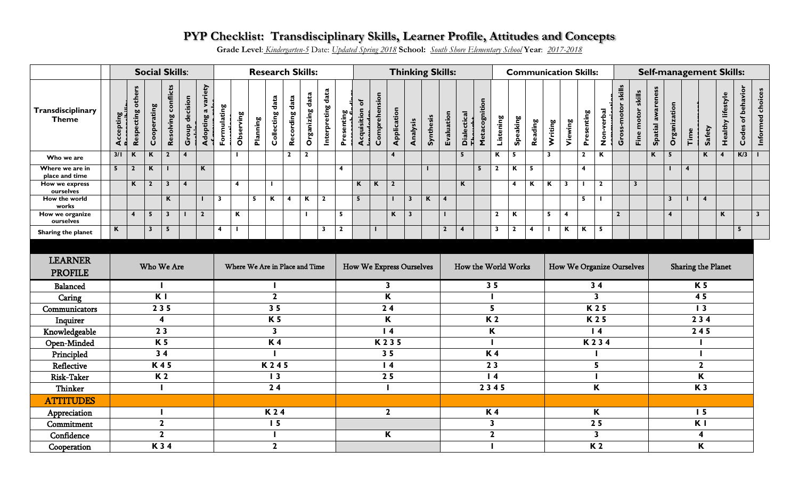## **PYP Checklist: Transdisciplinary Skills, Learner Profile, Attitudes and Concepts**

**Grade Level**: *Kindergarten-5* Date: *Updated Spring 2018* **School:** *South Shore Elementary School* **Year**: *2017-2018*

|                                   | <b>Social Skills:</b> |                         |                |                         |                         |                    | <b>Research Skills:</b> |                         |                                |                 |                         |                 | <b>Thinking Skills:</b> |                         |                    |               |                                 |                              |                         | <b>Communication Skills:</b> |                         |               |                         |                         |                         |              |                         |                         | <b>Self-management Skills:</b> |                           |                         |                   |                                      |                                                                                      |                 |                           |                   |                         |
|-----------------------------------|-----------------------|-------------------------|----------------|-------------------------|-------------------------|--------------------|-------------------------|-------------------------|--------------------------------|-----------------|-------------------------|-----------------|-------------------------|-------------------------|--------------------|---------------|---------------------------------|------------------------------|-------------------------|------------------------------|-------------------------|---------------|-------------------------|-------------------------|-------------------------|--------------|-------------------------|-------------------------|--------------------------------|---------------------------|-------------------------|-------------------|--------------------------------------|--------------------------------------------------------------------------------------|-----------------|---------------------------|-------------------|-------------------------|
| Transdisciplinary<br><b>Theme</b> |                       | Respecting others       | Cooperating    | Resolving conflicts     | <b>Group decision</b>   | Adopting a variety | Formulating             | Observing               | Planning                       | Collecting data | Recording data          | Organizing data | Interpreting data       |                         | Acquisition of     | Comprehension | Application                     | Analysis                     | Synthesis               | Evaluation                   | Dialectical<br>Thairdhe | Metacognition | Listening               | Speaking                | Reading                 | Writing      | Viewing                 | Presenting              | Non-verbal                     | Gross-motor skills        | Fine motor skills       | Spatial awareness | Organization                         | Time<br><br><br><br><br><br><br><br><br><br><br><br><br><br><br><br><br><br><br><br> | <b>Safety</b>   | <b>Healthy lifestyle</b>  | Codes of behavior | Informed choices        |
| Who we are                        | 3/1                   | K                       | K              | $\overline{2}$          | $\overline{\mathbf{4}}$ |                    |                         |                         |                                |                 | $\mathbf{2}$            | $\overline{2}$  |                         |                         |                    |               | $\overline{\mathbf{4}}$         |                              |                         |                              | $5^{\circ}$             |               | К                       | 5 <sub>1</sub>          |                         | $\mathbf{3}$ |                         | $\overline{2}$          | K                              |                           |                         | $\mathbf{K}$      | 5                                    |                                                                                      | K               | $\overline{\mathbf{4}}$   | K/3               | $\mathbf{L}$            |
| Where we are in<br>place and time | 5 <sub>1</sub>        | $\overline{2}$          | K              | $\mathbf{I}$            |                         | $\mathbf{K}$       |                         |                         |                                |                 |                         |                 |                         | $\overline{\mathbf{4}}$ |                    |               |                                 |                              | $\mathbf{I}$            |                              |                         | $5^{\circ}$   | $\overline{2}$          | K                       | 5                       |              |                         | $\overline{\mathbf{4}}$ |                                |                           |                         |                   |                                      | $\overline{\mathbf{4}}$                                                              |                 |                           |                   |                         |
| How we express                    |                       | K                       | $\mathbf{2}$   | $\overline{\mathbf{3}}$ | $\overline{\mathbf{4}}$ |                    |                         | $\overline{\mathbf{4}}$ |                                |                 |                         |                 |                         |                         | $\mathbf{K}$       | $\mathbf{K}$  | $\overline{2}$                  |                              |                         |                              | $\mathbf K$             |               |                         | $\overline{\mathbf{4}}$ | K                       | K            | $\overline{\mathbf{3}}$ | $\mathbf{L}$            | $\overline{2}$                 |                           | $\overline{\mathbf{3}}$ |                   |                                      |                                                                                      |                 |                           |                   |                         |
| ourselves<br>How the world        |                       |                         |                | $\mathbf{K}$            |                         |                    | l 3                     |                         | 5                              | K               | $\overline{\mathbf{4}}$ | K               | $\overline{\mathbf{2}}$ |                         | $5\overline{5}$    |               | $\mathbf{L}$                    | $\overline{\mathbf{3}}$      | $\overline{\mathbf{K}}$ | $\overline{\mathbf{4}}$      |                         |               |                         |                         |                         |              |                         | 5 <sub>1</sub>          |                                |                           |                         |                   | $\overline{\mathbf{3}}$              | $\mathbf{I}$                                                                         | $\overline{4}$  |                           |                   |                         |
| works                             |                       |                         |                |                         |                         |                    |                         |                         |                                |                 |                         |                 |                         |                         |                    |               |                                 |                              |                         |                              |                         |               |                         |                         |                         |              |                         |                         |                                |                           |                         |                   |                                      |                                                                                      |                 |                           |                   |                         |
| How we organize<br>ourselves      |                       | $\overline{\mathbf{4}}$ | 5 <sup>5</sup> | $\overline{\mathbf{3}}$ | $\mathbf{L}$            | $\overline{2}$     |                         | K                       |                                |                 |                         | H.              |                         | 5                       |                    |               | K                               | $\overline{\mathbf{3}}$      |                         | $\mathbf{I}$                 |                         |               | $\overline{2}$          | K                       |                         | $5^{\circ}$  | $\overline{4}$          |                         |                                | $\overline{2}$            |                         |                   | $\overline{\mathbf{4}}$              |                                                                                      |                 | $\mathbf{K}$              |                   | $\overline{\mathbf{3}}$ |
| Sharing the planet                | K                     |                         | $\mathbf{3}$   | $\overline{\mathbf{5}}$ |                         |                    | $\overline{\mathbf{4}}$ | $\mathbf{I}$            |                                |                 |                         |                 | 3                       | $\mathbf{2}$            |                    |               |                                 |                              |                         | $\mathbf{2}$                 | $\overline{\mathbf{4}}$ |               | $\overline{\mathbf{3}}$ | $\overline{2}$          | $\overline{\mathbf{4}}$ |              | К                       | K                       | $5^{\circ}$                    |                           |                         |                   |                                      |                                                                                      |                 |                           | 5                 |                         |
|                                   |                       |                         |                |                         |                         |                    |                         |                         |                                |                 |                         |                 |                         |                         |                    |               |                                 |                              |                         |                              |                         |               |                         |                         |                         |              |                         |                         |                                |                           |                         |                   |                                      |                                                                                      |                 |                           |                   |                         |
| <b>LEARNER</b><br><b>PROFILE</b>  |                       |                         | Who We Are     |                         |                         |                    |                         |                         | Where We Are in Place and Time |                 |                         |                 |                         |                         |                    |               | <b>How We Express Ourselves</b> |                              |                         |                              |                         |               | How the World Works     |                         |                         |              |                         |                         |                                | How We Organize Ourselves |                         |                   |                                      |                                                                                      |                 | <b>Sharing the Planet</b> |                   |                         |
| Balanced                          |                       |                         |                |                         |                         |                    |                         |                         |                                |                 |                         |                 |                         |                         |                    |               | $\mathbf{3}$                    |                              |                         |                              |                         |               | 35                      |                         |                         |              |                         |                         | 34                             |                           |                         |                   |                                      |                                                                                      | <b>K5</b>       |                           |                   |                         |
| Caring                            |                       |                         | $\overline{K}$ |                         |                         |                    |                         |                         |                                | $\mathbf{2}$    |                         |                 |                         |                         |                    |               | $\mathbf K$                     |                              |                         |                              |                         |               | $\overline{\mathbf{3}}$ |                         |                         |              |                         |                         |                                | 45                        |                         |                   |                                      |                                                                                      |                 |                           |                   |                         |
| Communicators                     |                       |                         | 235            |                         |                         |                    |                         |                         |                                | 35              |                         |                 |                         | $\overline{24}$         |                    |               |                                 |                              |                         |                              | K 2 5<br>5              |               |                         |                         |                         |              |                         | $\overline{13}$         |                                |                           |                         |                   |                                      |                                                                                      |                 |                           |                   |                         |
| Inquirer                          |                       |                         |                | 4                       |                         |                    |                         |                         |                                | $\overline{K}$  |                         |                 |                         | K                       |                    |               |                                 |                              |                         | $\overline{K}$ 2<br>K 2 5    |                         |               |                         |                         |                         |              | 234                     |                         |                                |                           |                         |                   |                                      |                                                                                      |                 |                           |                   |                         |
| Knowledgeable                     |                       |                         |                | 23                      |                         |                    |                         |                         |                                | $\mathbf{3}$    |                         |                 |                         | $\vert$ 4               |                    |               |                                 |                              |                         |                              | K                       |               |                         |                         |                         |              | $\vert$ 4               |                         |                                |                           |                         |                   | 245                                  |                                                                                      |                 |                           |                   |                         |
| Open-Minded                       |                       |                         | <b>K5</b>      |                         |                         |                    |                         |                         |                                | <b>K4</b>       |                         |                 |                         |                         |                    |               | K235                            |                              |                         |                              | K234                    |               |                         |                         |                         |              |                         |                         |                                |                           |                         |                   |                                      |                                                                                      |                 |                           |                   |                         |
| Principled                        |                       |                         |                | 34                      |                         |                    |                         |                         |                                |                 |                         |                 |                         |                         |                    |               | 35                              |                              |                         |                              |                         |               | <b>K4</b>               |                         |                         |              |                         |                         |                                |                           |                         |                   |                                      |                                                                                      |                 |                           |                   |                         |
| Reflective                        |                       |                         | <b>K45</b>     |                         |                         |                    |                         |                         |                                | K245            |                         |                 |                         |                         |                    |               | $\vert 4$                       |                              |                         |                              |                         |               | 23                      |                         |                         |              |                         |                         | 5                              |                           |                         |                   |                                      |                                                                                      | $\mathbf{2}$    |                           |                   |                         |
| <b>Risk-Taker</b>                 |                       |                         | K <sub>2</sub> |                         |                         |                    |                         | 13<br>24                |                                |                 |                         |                 |                         |                         | 25<br>$\mathbf{I}$ |               |                                 |                              |                         |                              | $\overline{14}$<br>2345 |               |                         |                         |                         |              | K                       |                         |                                |                           |                         |                   | $\overline{\mathbf{K}}$<br><b>K3</b> |                                                                                      |                 |                           |                   |                         |
| Thinker                           |                       |                         |                |                         |                         |                    |                         |                         |                                |                 |                         |                 |                         |                         |                    |               |                                 |                              |                         |                              |                         |               |                         |                         |                         |              |                         |                         |                                |                           |                         |                   |                                      |                                                                                      |                 |                           |                   |                         |
| <b>ATTITUDES</b>                  |                       |                         |                |                         |                         |                    |                         |                         |                                |                 |                         |                 |                         |                         |                    |               | $\overline{2}$                  |                              |                         |                              |                         |               |                         |                         |                         |              |                         |                         | K                              |                           |                         |                   |                                      |                                                                                      | $\overline{15}$ |                           |                   |                         |
| Appreciation<br>Commitment        |                       |                         |                | $\overline{2}$          |                         |                    |                         | K 24<br>15              |                                |                 |                         |                 |                         |                         |                    |               |                                 | $\overline{K4}$<br>25<br>3   |                         |                              |                         |               |                         |                         |                         |              |                         | $\overline{K}$          |                                |                           |                         |                   |                                      |                                                                                      |                 |                           |                   |                         |
| Confidence                        |                       |                         |                | $\mathbf{2}$            |                         |                    |                         |                         |                                |                 |                         |                 | K                       |                         |                    |               |                                 | $\mathbf{2}$<br>$\mathbf{3}$ |                         |                              |                         |               |                         |                         | $\overline{\mathbf{4}}$ |              |                         |                         |                                |                           |                         |                   |                                      |                                                                                      |                 |                           |                   |                         |
| Cooperation                       |                       |                         | K 34           |                         |                         |                    |                         | $\mathbf{2}$            |                                |                 |                         |                 |                         |                         |                    |               |                                 |                              |                         |                              | $\overline{K}$ 2        |               |                         |                         |                         |              |                         |                         |                                | K                         |                         |                   |                                      |                                                                                      |                 |                           |                   |                         |